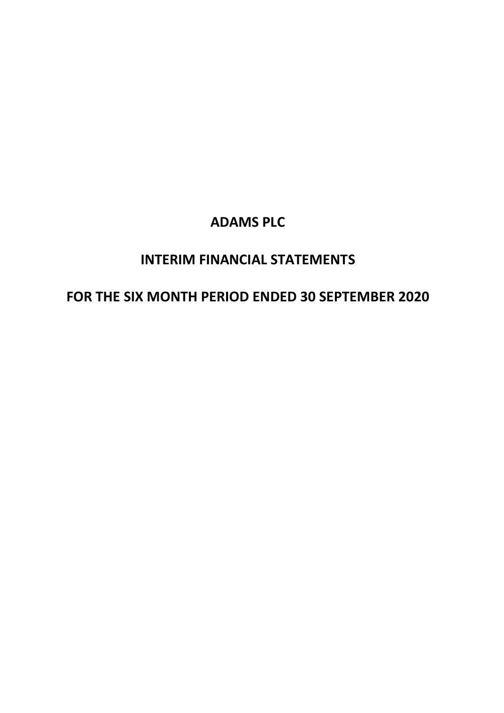# **INTERIM FINANCIAL STATEMENTS**

# **FOR THE SIX MONTH PERIOD ENDED 30 SEPTEMBER 2020**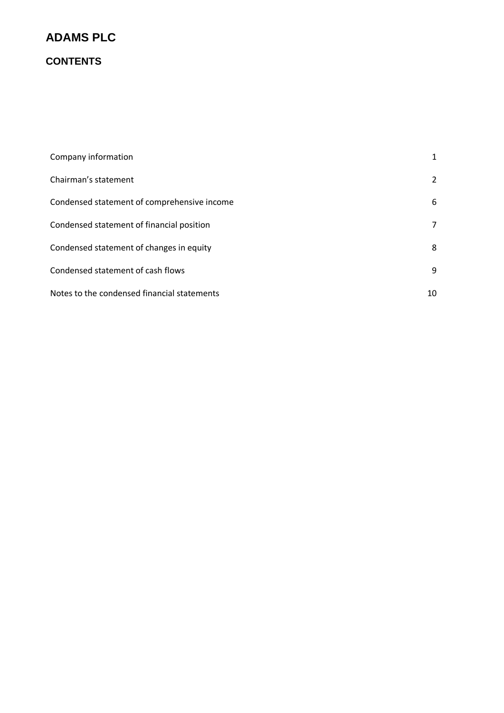## **CONTENTS**

| Company information                         | $\mathbf{1}$ |
|---------------------------------------------|--------------|
| Chairman's statement                        | 2            |
| Condensed statement of comprehensive income | 6            |
| Condensed statement of financial position   | 7            |
| Condensed statement of changes in equity    | 8            |
| Condensed statement of cash flows           | 9            |
| Notes to the condensed financial statements | 10           |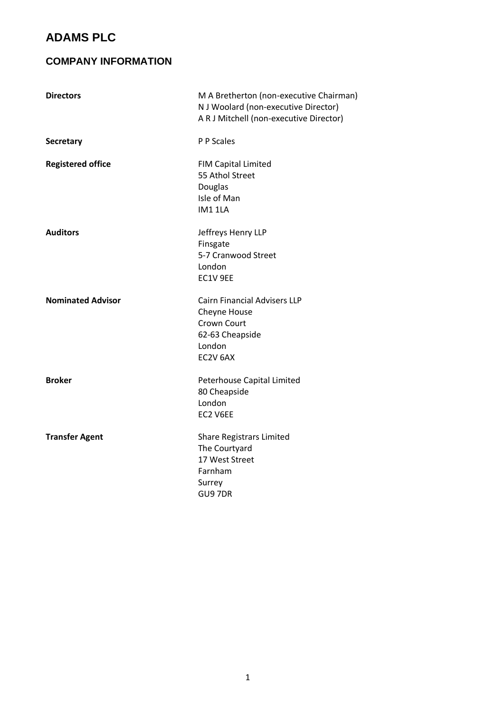### **COMPANY INFORMATION**

| <b>Directors</b>         | M A Bretherton (non-executive Chairman)<br>N J Woolard (non-executive Director)<br>A R J Mitchell (non-executive Director) |
|--------------------------|----------------------------------------------------------------------------------------------------------------------------|
| <b>Secretary</b>         | P P Scales                                                                                                                 |
| <b>Registered office</b> | <b>FIM Capital Limited</b><br>55 Athol Street<br>Douglas<br>Isle of Man<br>IM1 1LA                                         |
| <b>Auditors</b>          | Jeffreys Henry LLP<br>Finsgate<br>5-7 Cranwood Street<br>London<br>EC1V 9EE                                                |
| <b>Nominated Advisor</b> | <b>Cairn Financial Advisers LLP</b><br>Cheyne House<br>Crown Court<br>62-63 Cheapside<br>London<br>EC2V 6AX                |
| <b>Broker</b>            | Peterhouse Capital Limited<br>80 Cheapside<br>London<br>EC2 V6EE                                                           |
| <b>Transfer Agent</b>    | <b>Share Registrars Limited</b><br>The Courtyard<br>17 West Street<br>Farnham<br>Surrey<br>GU97DR                          |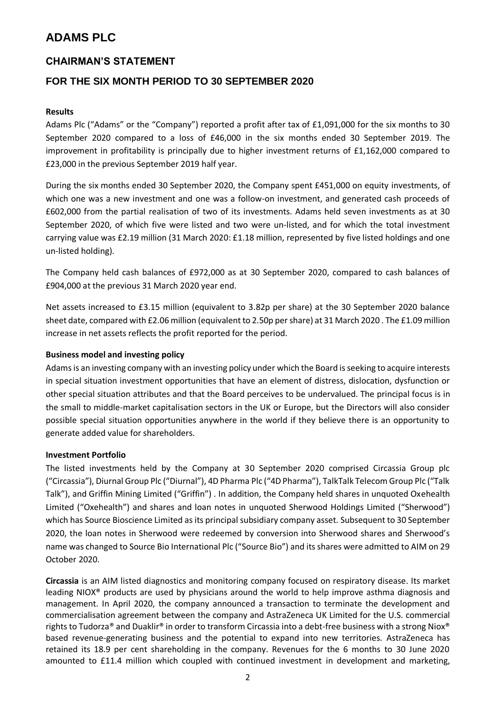### **CHAIRMAN'S STATEMENT**

### **FOR THE SIX MONTH PERIOD TO 30 SEPTEMBER 2020**

#### **Results**

Adams Plc ("Adams" or the "Company") reported a profit after tax of £1,091,000 for the six months to 30 September 2020 compared to a loss of £46,000 in the six months ended 30 September 2019. The improvement in profitability is principally due to higher investment returns of £1,162,000 compared to £23,000 in the previous September 2019 half year.

During the six months ended 30 September 2020, the Company spent £451,000 on equity investments, of which one was a new investment and one was a follow-on investment, and generated cash proceeds of £602,000 from the partial realisation of two of its investments. Adams held seven investments as at 30 September 2020, of which five were listed and two were un-listed, and for which the total investment carrying value was £2.19 million (31 March 2020: £1.18 million, represented by five listed holdings and one un-listed holding).

The Company held cash balances of £972,000 as at 30 September 2020, compared to cash balances of £904,000 at the previous 31 March 2020 year end.

Net assets increased to £3.15 million (equivalent to 3.82p per share) at the 30 September 2020 balance sheet date, compared with £2.06 million (equivalent to 2.50p per share) at 31 March 2020 . The £1.09 million increase in net assets reflects the profit reported for the period.

#### **Business model and investing policy**

Adams is an investing company with an investing policy under which the Board is seeking to acquire interests in special situation investment opportunities that have an element of distress, dislocation, dysfunction or other special situation attributes and that the Board perceives to be undervalued. The principal focus is in the small to middle-market capitalisation sectors in the UK or Europe, but the Directors will also consider possible special situation opportunities anywhere in the world if they believe there is an opportunity to generate added value for shareholders.

#### **Investment Portfolio**

The listed investments held by the Company at 30 September 2020 comprised Circassia Group plc ("Circassia"), Diurnal Group Plc ("Diurnal"), 4D Pharma Plc ("4D Pharma"), TalkTalk Telecom Group Plc ("Talk Talk"), and Griffin Mining Limited ("Griffin") . In addition, the Company held shares in unquoted Oxehealth Limited ("Oxehealth") and shares and loan notes in unquoted Sherwood Holdings Limited ("Sherwood") which has Source Bioscience Limited as its principal subsidiary company asset. Subsequent to 30 September 2020, the loan notes in Sherwood were redeemed by conversion into Sherwood shares and Sherwood's name was changed to Source Bio International Plc ("Source Bio") and its shares were admitted to AIM on 29 October 2020.

**Circassia** is an AIM listed diagnostics and monitoring company focused on respiratory disease. Its market leading NIOX® products are used by physicians around the world to help improve asthma diagnosis and management. In April 2020, the company announced a transaction to terminate the development and commercialisation agreement between the company and AstraZeneca UK Limited for the U.S. commercial rights to Tudorza® and Duaklir® in order to transform Circassia into a debt-free business with a strong Niox® based revenue-generating business and the potential to expand into new territories. AstraZeneca has retained its 18.9 per cent shareholding in the company. Revenues for the 6 months to 30 June 2020 amounted to £11.4 million which coupled with continued investment in development and marketing,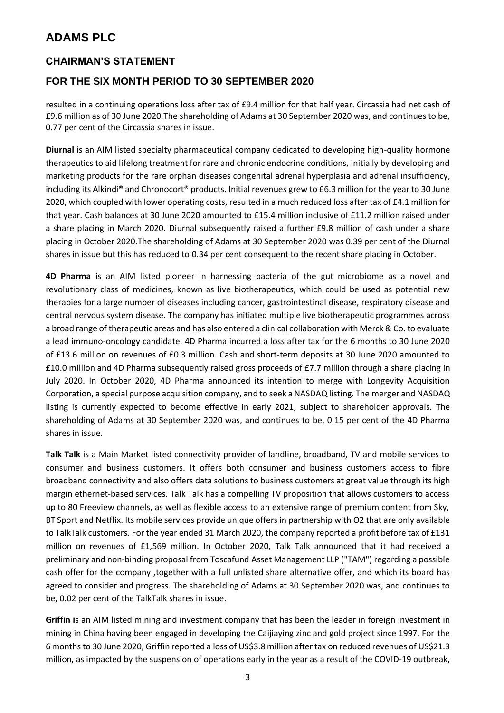### **CHAIRMAN'S STATEMENT**

### **FOR THE SIX MONTH PERIOD TO 30 SEPTEMBER 2020**

resulted in a continuing operations loss after tax of £9.4 million for that half year. Circassia had net cash of £9.6 million as of 30 June 2020.The shareholding of Adams at 30 September 2020 was, and continues to be, 0.77 per cent of the Circassia shares in issue.

**Diurnal** is an AIM listed specialty pharmaceutical company dedicated to developing high-quality hormone therapeutics to aid lifelong treatment for rare and chronic endocrine conditions, initially by developing and marketing products for the rare orphan diseases congenital adrenal hyperplasia and adrenal insufficiency, including its Alkindi® and Chronocort® products. Initial revenues grew to £6.3 million for the year to 30 June 2020, which coupled with lower operating costs, resulted in a much reduced loss after tax of £4.1 million for that year. Cash balances at 30 June 2020 amounted to £15.4 million inclusive of £11.2 million raised under a share placing in March 2020. Diurnal subsequently raised a further £9.8 million of cash under a share placing in October 2020.The shareholding of Adams at 30 September 2020 was 0.39 per cent of the Diurnal shares in issue but this has reduced to 0.34 per cent consequent to the recent share placing in October.

**4D Pharma** is an AIM listed pioneer in harnessing bacteria of the gut microbiome as a novel and revolutionary class of medicines, known as live biotherapeutics, which could be used as potential new therapies for a large number of diseases including cancer, gastrointestinal disease, respiratory disease and central nervous system disease. The company has initiated multiple live biotherapeutic programmes across a broad range of therapeutic areas and has also entered a clinical collaboration with Merck & Co. to evaluate a lead immuno-oncology candidate. 4D Pharma incurred a loss after tax for the 6 months to 30 June 2020 of £13.6 million on revenues of £0.3 million. Cash and short-term deposits at 30 June 2020 amounted to £10.0 million and 4D Pharma subsequently raised gross proceeds of £7.7 million through a share placing in July 2020. In October 2020, 4D Pharma announced its intention to merge with Longevity Acquisition Corporation, a special purpose acquisition company, and to seek a NASDAQ listing. The merger and NASDAQ listing is currently expected to become effective in early 2021, subject to shareholder approvals. The shareholding of Adams at 30 September 2020 was, and continues to be, 0.15 per cent of the 4D Pharma shares in issue.

**Talk Talk** is a Main Market listed connectivity provider of landline, broadband, TV and mobile services to consumer and business customers. It offers both consumer and business customers access to fibre broadband connectivity and also offers data solutions to business customers at great value through its high margin ethernet-based services. Talk Talk has a compelling TV proposition that allows customers to access up to 80 Freeview channels, as well as flexible access to an extensive range of premium content from Sky, BT Sport and Netflix. Its mobile services provide unique offers in partnership with O2 that are only available to TalkTalk customers. For the year ended 31 March 2020, the company reported a profit before tax of £131 million on revenues of £1,569 million. In October 2020, Talk Talk announced that it had received a preliminary and non-binding proposal from Toscafund Asset Management LLP ("TAM") regarding a possible cash offer for the company ,together with a full unlisted share alternative offer, and which its board has agreed to consider and progress. The shareholding of Adams at 30 September 2020 was, and continues to be, 0.02 per cent of the TalkTalk shares in issue.

**Griffin i**s an AIM listed mining and investment company that has been the leader in foreign investment in mining in China having been engaged in developing the Caijiaying zinc and gold project since 1997. For the 6 months to 30 June 2020, Griffin reported a loss of US\$3.8 million after tax on reduced revenues of US\$21.3 million, as impacted by the suspension of operations early in the year as a result of the COVID-19 outbreak,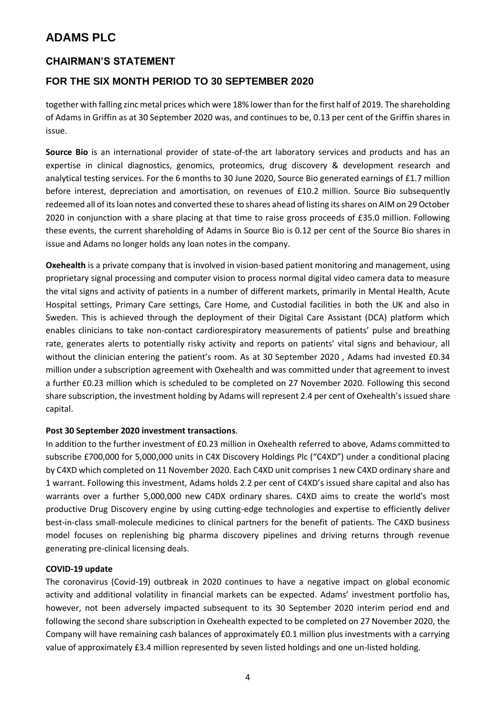### **CHAIRMAN'S STATEMENT**

### **FOR THE SIX MONTH PERIOD TO 30 SEPTEMBER 2020**

together with falling zinc metal prices which were 18% lower than for the first half of 2019. The shareholding of Adams in Griffin as at 30 September 2020 was, and continues to be, 0.13 per cent of the Griffin shares in issue.

**Source Bio** is an international provider of state-of-the art laboratory services and products and has an expertise in clinical diagnostics, genomics, proteomics, drug discovery & development research and analytical testing services. For the 6 months to 30 June 2020, Source Bio generated earnings of £1.7 million before interest, depreciation and amortisation, on revenues of £10.2 million. Source Bio subsequently redeemed all of its loan notes and converted these to shares ahead of listing its shares on AIM on 29 October 2020 in conjunction with a share placing at that time to raise gross proceeds of £35.0 million. Following these events, the current shareholding of Adams in Source Bio is 0.12 per cent of the Source Bio shares in issue and Adams no longer holds any loan notes in the company.

**Oxehealth** is a private company that is involved in vision-based patient monitoring and management, using proprietary signal processing and computer vision to process normal digital video camera data to measure the vital signs and activity of patients in a number of different markets, primarily in Mental Health, Acute Hospital settings, Primary Care settings, Care Home, and Custodial facilities in both the UK and also in Sweden. This is achieved through the deployment of their Digital Care Assistant (DCA) platform which enables clinicians to take non-contact cardiorespiratory measurements of patients' pulse and breathing rate, generates alerts to potentially risky activity and reports on patients' vital signs and behaviour, all without the clinician entering the patient's room. As at 30 September 2020 , Adams had invested £0.34 million under a subscription agreement with Oxehealth and was committed under that agreement to invest a further £0.23 million which is scheduled to be completed on 27 November 2020. Following this second share subscription, the investment holding by Adams will represent 2.4 per cent of Oxehealth's issued share capital.

#### **Post 30 September 2020 investment transactions**.

In addition to the further investment of £0.23 million in Oxehealth referred to above, Adams committed to subscribe £700,000 for 5,000,000 units in C4X Discovery Holdings Plc ("C4XD") under a conditional placing by C4XD which completed on 11 November 2020. Each C4XD unit comprises 1 new C4XD ordinary share and 1 warrant. Following this investment, Adams holds 2.2 per cent of C4XD's issued share capital and also has warrants over a further 5,000,000 new C4DX ordinary shares. C4XD aims to create the world's most productive Drug Discovery engine by using cutting-edge technologies and expertise to efficiently deliver best-in-class small-molecule medicines to clinical partners for the benefit of patients. The C4XD business model focuses on replenishing big pharma discovery pipelines and driving returns through revenue generating pre-clinical licensing deals.

#### **COVID-19 update**

The coronavirus (Covid-19) outbreak in 2020 continues to have a negative impact on global economic activity and additional volatility in financial markets can be expected. Adams' investment portfolio has, however, not been adversely impacted subsequent to its 30 September 2020 interim period end and following the second share subscription in Oxehealth expected to be completed on 27 November 2020, the Company will have remaining cash balances of approximately £0.1 million plus investments with a carrying value of approximately £3.4 million represented by seven listed holdings and one un-listed holding.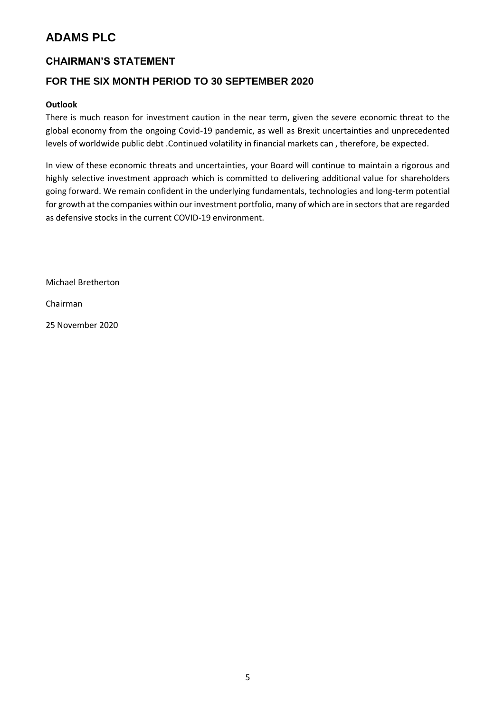### **CHAIRMAN'S STATEMENT**

### **FOR THE SIX MONTH PERIOD TO 30 SEPTEMBER 2020**

### **Outlook**

There is much reason for investment caution in the near term, given the severe economic threat to the global economy from the ongoing Covid-19 pandemic, as well as Brexit uncertainties and unprecedented levels of worldwide public debt .Continued volatility in financial markets can , therefore, be expected.

In view of these economic threats and uncertainties, your Board will continue to maintain a rigorous and highly selective investment approach which is committed to delivering additional value for shareholders going forward. We remain confident in the underlying fundamentals, technologies and long-term potential for growth at the companies within our investment portfolio, many of which are in sectors that are regarded as defensive stocks in the current COVID-19 environment.

Michael Bretherton

Chairman

25 November 2020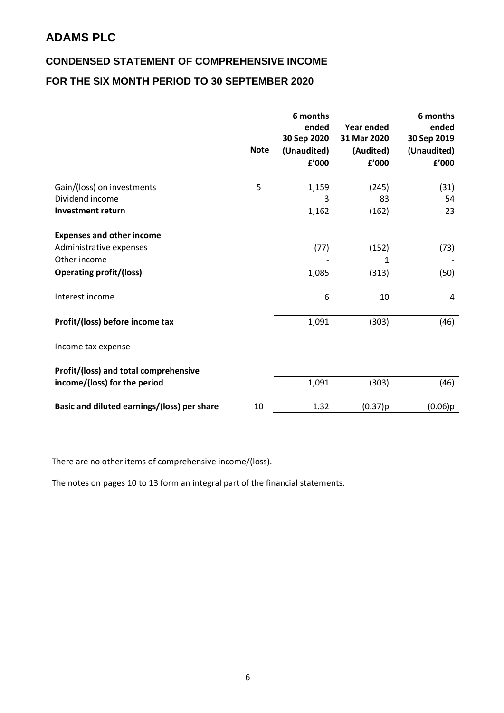# **CONDENSED STATEMENT OF COMPREHENSIVE INCOME FOR THE SIX MONTH PERIOD TO 30 SEPTEMBER 2020**

|                                             | <b>Note</b> | 6 months<br>ended<br>30 Sep 2020<br>(Unaudited)<br>f'000 | <b>Year ended</b><br>31 Mar 2020<br>(Audited)<br>f'000 | 6 months<br>ended<br>30 Sep 2019<br>(Unaudited)<br>f'000 |
|---------------------------------------------|-------------|----------------------------------------------------------|--------------------------------------------------------|----------------------------------------------------------|
| Gain/(loss) on investments                  | 5           | 1,159                                                    | (245)                                                  | (31)                                                     |
| Dividend income                             |             | 3                                                        | 83                                                     | 54                                                       |
| <b>Investment return</b>                    |             | 1,162                                                    | (162)                                                  | 23                                                       |
| <b>Expenses and other income</b>            |             |                                                          |                                                        |                                                          |
| Administrative expenses                     |             | (77)                                                     | (152)                                                  | (73)                                                     |
| Other income                                |             |                                                          | 1                                                      |                                                          |
|                                             |             |                                                          |                                                        |                                                          |
| <b>Operating profit/(loss)</b>              |             | 1,085                                                    | (313)                                                  | (50)                                                     |
| Interest income                             |             | 6                                                        | 10                                                     | 4                                                        |
| Profit/(loss) before income tax             |             | 1,091                                                    | (303)                                                  | (46)                                                     |
| Income tax expense                          |             |                                                          |                                                        |                                                          |
| Profit/(loss) and total comprehensive       |             |                                                          |                                                        |                                                          |
| income/(loss) for the period                |             | 1,091                                                    | (303)                                                  | (46)                                                     |
| Basic and diluted earnings/(loss) per share | 10          | 1.32                                                     | (0.37)p                                                | (0.06)p                                                  |

There are no other items of comprehensive income/(loss).

The notes on pages 10 to 13 form an integral part of the financial statements.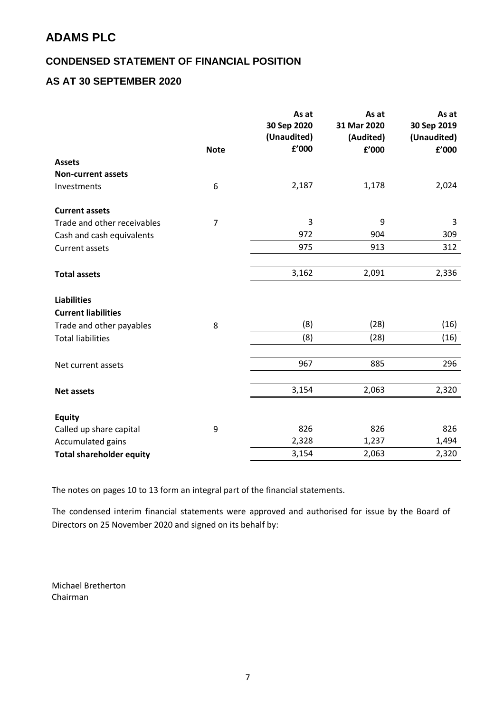### **CONDENSED STATEMENT OF FINANCIAL POSITION**

### **AS AT 30 SEPTEMBER 2020**

|                                 |                | As at<br>30 Sep 2020<br>(Unaudited) | As at<br>31 Mar 2020<br>(Audited) | As at<br>30 Sep 2019<br>(Unaudited) |
|---------------------------------|----------------|-------------------------------------|-----------------------------------|-------------------------------------|
|                                 | <b>Note</b>    | £'000                               | f'000                             | £'000                               |
| <b>Assets</b>                   |                |                                     |                                   |                                     |
| <b>Non-current assets</b>       |                |                                     |                                   |                                     |
| Investments                     | 6              | 2,187                               | 1,178                             | 2,024                               |
| <b>Current assets</b>           |                |                                     |                                   |                                     |
| Trade and other receivables     | $\overline{7}$ | 3                                   | 9                                 | 3                                   |
| Cash and cash equivalents       |                | 972                                 | 904                               | 309                                 |
| <b>Current assets</b>           |                | 975                                 | 913                               | 312                                 |
|                                 |                |                                     |                                   |                                     |
| <b>Total assets</b>             |                | 3,162                               | 2,091                             | 2,336                               |
| <b>Liabilities</b>              |                |                                     |                                   |                                     |
| <b>Current liabilities</b>      |                |                                     |                                   |                                     |
| Trade and other payables        | 8              | (8)                                 | (28)                              | (16)                                |
| <b>Total liabilities</b>        |                | (8)                                 | (28)                              | (16)                                |
|                                 |                |                                     |                                   |                                     |
| Net current assets              |                | 967                                 | 885                               | 296                                 |
|                                 |                | 3,154                               | 2,063                             | 2,320                               |
| <b>Net assets</b>               |                |                                     |                                   |                                     |
| <b>Equity</b>                   |                |                                     |                                   |                                     |
| Called up share capital         | 9              | 826                                 | 826                               | 826                                 |
| Accumulated gains               |                | 2,328                               | 1,237                             | 1,494                               |
| <b>Total shareholder equity</b> |                | 3,154                               | 2,063                             | 2,320                               |

The notes on pages 10 to 13 form an integral part of the financial statements.

The condensed interim financial statements were approved and authorised for issue by the Board of Directors on 25 November 2020 and signed on its behalf by:

Michael Bretherton Chairman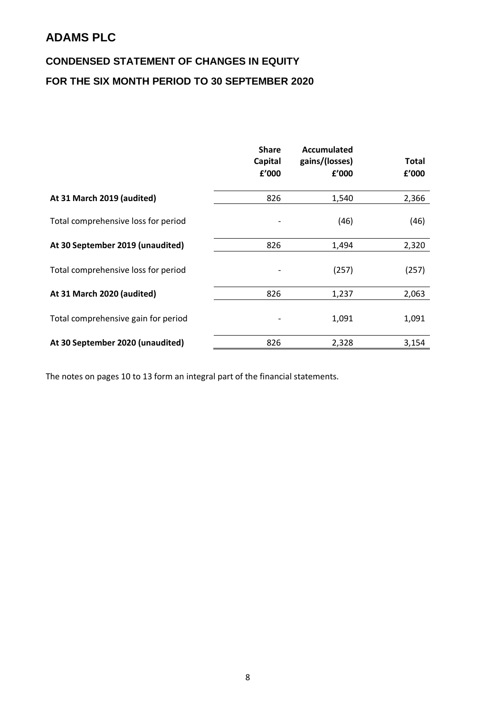# **CONDENSED STATEMENT OF CHANGES IN EQUITY FOR THE SIX MONTH PERIOD TO 30 SEPTEMBER 2020**

|                                     | <b>Share</b><br>Capital<br>£'000 | Accumulated<br>gains/(losses)<br>f'000 | <b>Total</b><br>f'000 |
|-------------------------------------|----------------------------------|----------------------------------------|-----------------------|
| At 31 March 2019 (audited)          | 826                              | 1,540                                  | 2,366                 |
| Total comprehensive loss for period |                                  | (46)                                   | (46)                  |
| At 30 September 2019 (unaudited)    | 826                              | 1,494                                  | 2,320                 |
| Total comprehensive loss for period |                                  | (257)                                  | (257)                 |
| At 31 March 2020 (audited)          | 826                              | 1,237                                  | 2,063                 |
| Total comprehensive gain for period |                                  | 1,091                                  | 1,091                 |
| At 30 September 2020 (unaudited)    | 826                              | 2,328                                  | 3,154                 |

The notes on pages 10 to 13 form an integral part of the financial statements.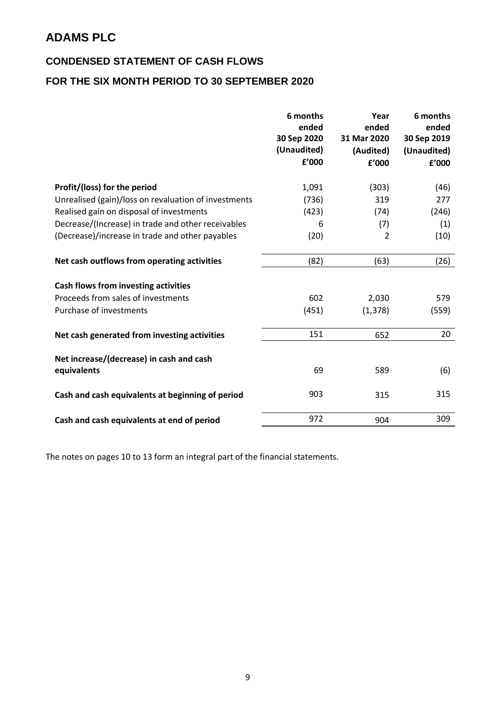### **CONDENSED STATEMENT OF CASH FLOWS**

# **FOR THE SIX MONTH PERIOD TO 30 SEPTEMBER 2020**

|                                                      | 6 months<br>ended<br>30 Sep 2020<br>(Unaudited)<br>£'000 | Year<br>ended<br>31 Mar 2020<br>(Audited)<br>f'000 | 6 months<br>ended<br>30 Sep 2019<br>(Unaudited)<br>£'000 |
|------------------------------------------------------|----------------------------------------------------------|----------------------------------------------------|----------------------------------------------------------|
| Profit/(loss) for the period                         | 1,091                                                    | (303)                                              | (46)                                                     |
| Unrealised (gain)/loss on revaluation of investments | (736)                                                    | 319                                                | 277                                                      |
| Realised gain on disposal of investments             | (423)                                                    | (74)                                               | (246)                                                    |
| Decrease/(Increase) in trade and other receivables   | 6                                                        | (7)                                                | (1)                                                      |
| (Decrease)/increase in trade and other payables      | (20)                                                     | $\overline{2}$                                     | (10)                                                     |
| Net cash outflows from operating activities          | (82)                                                     | (63)                                               | (26)                                                     |
| Cash flows from investing activities                 |                                                          |                                                    |                                                          |
| Proceeds from sales of investments                   | 602                                                      | 2,030                                              | 579                                                      |
| Purchase of investments                              | (451)                                                    | (1, 378)                                           | (559)                                                    |
| Net cash generated from investing activities         | 151                                                      | 652                                                | 20                                                       |
| Net increase/(decrease) in cash and cash             | 69                                                       | 589                                                |                                                          |
| equivalents                                          |                                                          |                                                    | (6)                                                      |
| Cash and cash equivalents at beginning of period     | 903                                                      | 315                                                | 315                                                      |
| Cash and cash equivalents at end of period           | 972                                                      | 904                                                | 309                                                      |

The notes on pages 10 to 13 form an integral part of the financial statements.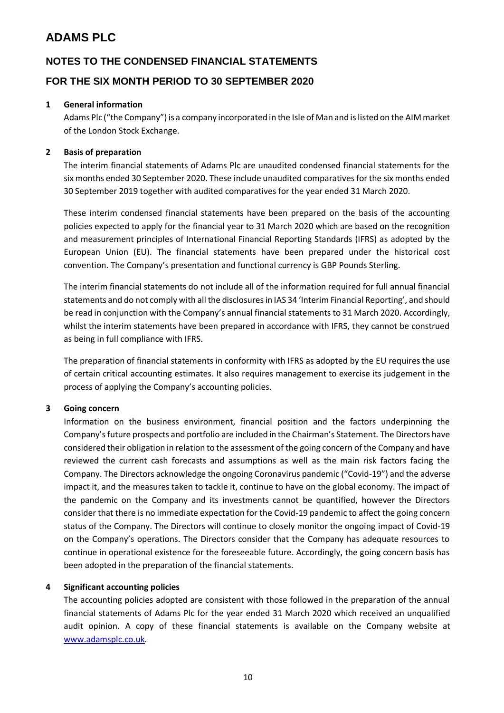### **NOTES TO THE CONDENSED FINANCIAL STATEMENTS**

### **FOR THE SIX MONTH PERIOD TO 30 SEPTEMBER 2020**

#### **1 General information**

Adams Plc ("the Company") is a company incorporated in the Isle of Man and is listed on the AIM market of the London Stock Exchange.

#### **2 Basis of preparation**

The interim financial statements of Adams Plc are unaudited condensed financial statements for the six months ended 30 September 2020. These include unaudited comparatives for the six months ended 30 September 2019 together with audited comparatives for the year ended 31 March 2020.

These interim condensed financial statements have been prepared on the basis of the accounting policies expected to apply for the financial year to 31 March 2020 which are based on the recognition and measurement principles of International Financial Reporting Standards (IFRS) as adopted by the European Union (EU). The financial statements have been prepared under the historical cost convention. The Company's presentation and functional currency is GBP Pounds Sterling.

The interim financial statements do not include all of the information required for full annual financial statements and do not comply with all the disclosures in IAS 34 'Interim Financial Reporting', and should be read in conjunction with the Company's annual financial statements to 31 March 2020. Accordingly, whilst the interim statements have been prepared in accordance with IFRS, they cannot be construed as being in full compliance with IFRS.

The preparation of financial statements in conformity with IFRS as adopted by the EU requires the use of certain critical accounting estimates. It also requires management to exercise its judgement in the process of applying the Company's accounting policies.

#### **3 Going concern**

Information on the business environment, financial position and the factors underpinning the Company's future prospects and portfolio are included in the Chairman's Statement. The Directors have considered their obligation in relation to the assessment of the going concern of the Company and have reviewed the current cash forecasts and assumptions as well as the main risk factors facing the Company. The Directors acknowledge the ongoing Coronavirus pandemic ("Covid-19") and the adverse impact it, and the measures taken to tackle it, continue to have on the global economy. The impact of the pandemic on the Company and its investments cannot be quantified, however the Directors consider that there is no immediate expectation for the Covid-19 pandemic to affect the going concern status of the Company. The Directors will continue to closely monitor the ongoing impact of Covid-19 on the Company's operations. The Directors consider that the Company has adequate resources to continue in operational existence for the foreseeable future. Accordingly, the going concern basis has been adopted in the preparation of the financial statements.

#### **4 Significant accounting policies**

The accounting policies adopted are consistent with those followed in the preparation of the annual financial statements of Adams Plc for the year ended 31 March 2020 which received an unqualified audit opinion. A copy of these financial statements is available on the Company website at [www.adamsplc.co.uk.](http://www.adamsplc.co.uk/)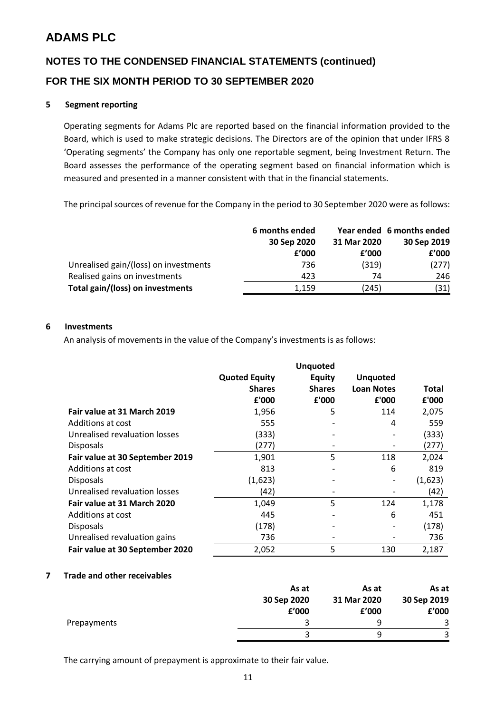# **NOTES TO THE CONDENSED FINANCIAL STATEMENTS (continued) FOR THE SIX MONTH PERIOD TO 30 SEPTEMBER 2020**

#### **5 Segment reporting**

Operating segments for Adams Plc are reported based on the financial information provided to the Board, which is used to make strategic decisions. The Directors are of the opinion that under IFRS 8 'Operating segments' the Company has only one reportable segment, being Investment Return. The Board assesses the performance of the operating segment based on financial information which is measured and presented in a manner consistent with that in the financial statements.

The principal sources of revenue for the Company in the period to 30 September 2020 were as follows:

|                                       | 6 months ended |             | Year ended 6 months ended |
|---------------------------------------|----------------|-------------|---------------------------|
|                                       | 30 Sep 2020    | 31 Mar 2020 | 30 Sep 2019               |
|                                       | f'000          | f'000       | f'000                     |
| Unrealised gain/(loss) on investments | 736            | (319)       | (277)                     |
| Realised gains on investments         | 423            | 74          | 246                       |
| Total gain/(loss) on investments      | 1.159          | (245)       | (31)                      |

#### **6 Investments**

An analysis of movements in the value of the Company's investments is as follows:

|                                 |                                       | <b>Unquoted</b>                |                                      |              |
|---------------------------------|---------------------------------------|--------------------------------|--------------------------------------|--------------|
|                                 | <b>Quoted Equity</b><br><b>Shares</b> | <b>Equity</b><br><b>Shares</b> | <b>Unquoted</b><br><b>Loan Notes</b> | <b>Total</b> |
|                                 | £'000                                 | £'000                          | £'000                                | £'000        |
| Fair value at 31 March 2019     | 1,956                                 | 5                              | 114                                  | 2,075        |
| Additions at cost               | 555                                   |                                | 4                                    | 559          |
| Unrealised revaluation losses   | (333)                                 | $\overline{\phantom{0}}$       | $\overline{\phantom{a}}$             | (333)        |
| <b>Disposals</b>                | (277)                                 |                                |                                      | (277)        |
| Fair value at 30 September 2019 | 1,901                                 | 5                              | 118                                  | 2,024        |
| Additions at cost               | 813                                   |                                | 6                                    | 819          |
| <b>Disposals</b>                | (1,623)                               |                                |                                      | (1,623)      |
| Unrealised revaluation losses   | (42)                                  | $\qquad \qquad$                |                                      | (42)         |
| Fair value at 31 March 2020     | 1,049                                 | 5                              | 124                                  | 1,178        |
| Additions at cost               | 445                                   |                                | 6                                    | 451          |
| <b>Disposals</b>                | (178)                                 |                                |                                      | (178)        |
| Unrealised revaluation gains    | 736                                   |                                |                                      | 736          |
| Fair value at 30 September 2020 | 2,052                                 | 5                              | 130                                  | 2,187        |

#### **7 Trade and other receivables**

|             | As at       | As at       | As at       |
|-------------|-------------|-------------|-------------|
|             | 30 Sep 2020 | 31 Mar 2020 | 30 Sep 2019 |
|             | £'000       | f'000       | f'000       |
| Prepayments |             | q           |             |
|             |             |             |             |

The carrying amount of prepayment is approximate to their fair value.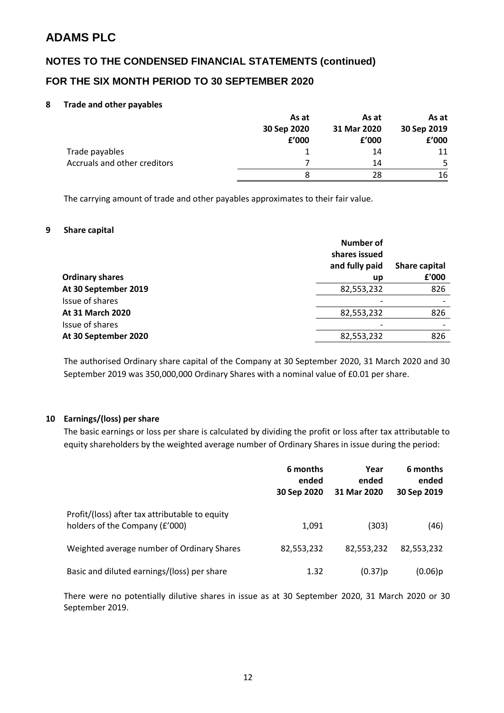### **NOTES TO THE CONDENSED FINANCIAL STATEMENTS (continued)**

### **FOR THE SIX MONTH PERIOD TO 30 SEPTEMBER 2020**

#### **8 Trade and other payables**

|                                     | As at       | As at       | As at       |
|-------------------------------------|-------------|-------------|-------------|
|                                     | 30 Sep 2020 | 31 Mar 2020 | 30 Sep 2019 |
|                                     | f'000       | f'000       | £'000       |
| Trade payables                      |             | 14          | 11          |
| <b>Accruals and other creditors</b> |             | 14          | 5           |
|                                     |             | 28          | 16          |

The carrying amount of trade and other payables approximates to their fair value.

#### **9 Share capital**

|                        | Number of<br>shares issued<br>and fully paid | Share capital |
|------------------------|----------------------------------------------|---------------|
| <b>Ordinary shares</b> | up                                           | £'000         |
| At 30 September 2019   | 82,553,232                                   | 826           |
| Issue of shares        |                                              |               |
| At 31 March 2020       | 82,553,232                                   | 826           |
| Issue of shares        |                                              |               |
| At 30 September 2020   | 82,553,232                                   | 826           |

The authorised Ordinary share capital of the Company at 30 September 2020, 31 March 2020 and 30 September 2019 was 350,000,000 Ordinary Shares with a nominal value of £0.01 per share.

#### **10 Earnings/(loss) per share**

The basic earnings or loss per share is calculated by dividing the profit or loss after tax attributable to equity shareholders by the weighted average number of Ordinary Shares in issue during the period:

|                                                                                  | 6 months<br>ended<br>30 Sep 2020 | Year<br>ended<br>31 Mar 2020 | 6 months<br>ended<br>30 Sep 2019 |
|----------------------------------------------------------------------------------|----------------------------------|------------------------------|----------------------------------|
| Profit/(loss) after tax attributable to equity<br>holders of the Company (£'000) | 1,091                            | (303)                        | (46)                             |
| Weighted average number of Ordinary Shares                                       | 82,553,232                       | 82,553,232                   | 82,553,232                       |
| Basic and diluted earnings/(loss) per share                                      | 1.32                             | (0.37)p                      | (0.06)p                          |

There were no potentially dilutive shares in issue as at 30 September 2020, 31 March 2020 or 30 September 2019.